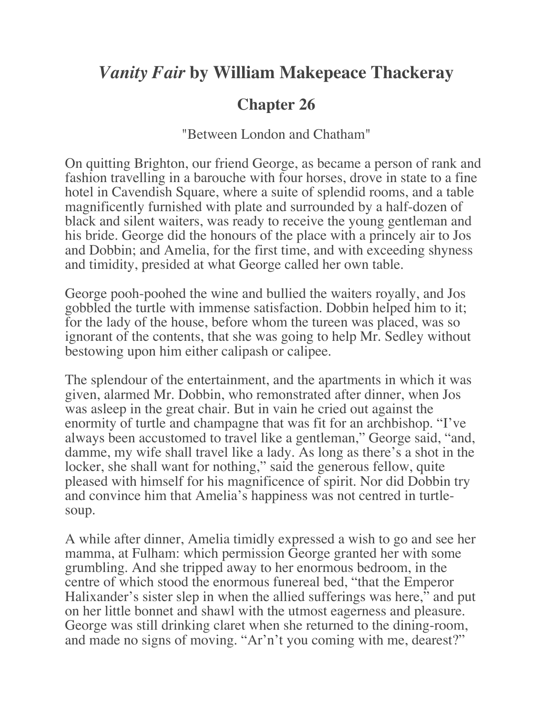## *Vanity Fair* **by William Makepeace Thackeray**

## **Chapter 26**

"Between London and Chatham"

On quitting Brighton, our friend George, as became a person of rank and fashion travelling in a barouche with four horses, drove in state to a fine hotel in Cavendish Square, where a suite of splendid rooms, and a table magnificently furnished with plate and surrounded by a half-dozen of black and silent waiters, was ready to receive the young gentleman and his bride. George did the honours of the place with a princely air to Jos and Dobbin; and Amelia, for the first time, and with exceeding shyness and timidity, presided at what George called her own table.

George pooh-poohed the wine and bullied the waiters royally, and Jos gobbled the turtle with immense satisfaction. Dobbin helped him to it; for the lady of the house, before whom the tureen was placed, was so ignorant of the contents, that she was going to help Mr. Sedley without bestowing upon him either calipash or calipee.

The splendour of the entertainment, and the apartments in which it was given, alarmed Mr. Dobbin, who remonstrated after dinner, when Jos was asleep in the great chair. But in vain he cried out against the enormity of turtle and champagne that was fit for an archbishop. "I've always been accustomed to travel like a gentleman," George said, "and, damme, my wife shall travel like a lady. As long as there's a shot in the locker, she shall want for nothing," said the generous fellow, quite pleased with himself for his magnificence of spirit. Nor did Dobbin try and convince him that Amelia's happiness was not centred in turtlesoup.

A while after dinner, Amelia timidly expressed a wish to go and see her mamma, at Fulham: which permission George granted her with some grumbling. And she tripped away to her enormous bedroom, in the centre of which stood the enormous funereal bed, "that the Emperor Halixander's sister slep in when the allied sufferings was here," and put on her little bonnet and shawl with the utmost eagerness and pleasure. George was still drinking claret when she returned to the dining-room, and made no signs of moving. "Ar'n't you coming with me, dearest?"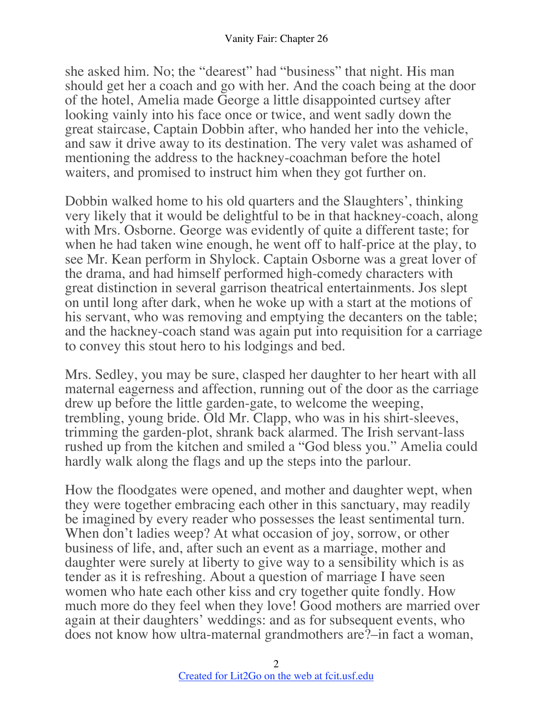she asked him. No; the "dearest" had "business" that night. His man should get her a coach and go with her. And the coach being at the door of the hotel, Amelia made George a little disappointed curtsey after looking vainly into his face once or twice, and went sadly down the great staircase, Captain Dobbin after, who handed her into the vehicle, and saw it drive away to its destination. The very valet was ashamed of mentioning the address to the hackney-coachman before the hotel waiters, and promised to instruct him when they got further on.

Dobbin walked home to his old quarters and the Slaughters', thinking very likely that it would be delightful to be in that hackney-coach, along with Mrs. Osborne. George was evidently of quite a different taste; for when he had taken wine enough, he went off to half-price at the play, to see Mr. Kean perform in Shylock. Captain Osborne was a great lover of the drama, and had himself performed high-comedy characters with great distinction in several garrison theatrical entertainments. Jos slept on until long after dark, when he woke up with a start at the motions of his servant, who was removing and emptying the decanters on the table; and the hackney-coach stand was again put into requisition for a carriage to convey this stout hero to his lodgings and bed.

Mrs. Sedley, you may be sure, clasped her daughter to her heart with all maternal eagerness and affection, running out of the door as the carriage drew up before the little garden-gate, to welcome the weeping, trembling, young bride. Old Mr. Clapp, who was in his shirt-sleeves, trimming the garden-plot, shrank back alarmed. The Irish servant-lass rushed up from the kitchen and smiled a "God bless you." Amelia could hardly walk along the flags and up the steps into the parlour.

How the floodgates were opened, and mother and daughter wept, when they were together embracing each other in this sanctuary, may readily be imagined by every reader who possesses the least sentimental turn. When don't ladies weep? At what occasion of joy, sorrow, or other business of life, and, after such an event as a marriage, mother and daughter were surely at liberty to give way to a sensibility which is as tender as it is refreshing. About a question of marriage I have seen women who hate each other kiss and cry together quite fondly. How much more do they feel when they love! Good mothers are married over again at their daughters' weddings: and as for subsequent events, who does not know how ultra-maternal grandmothers are?–in fact a woman,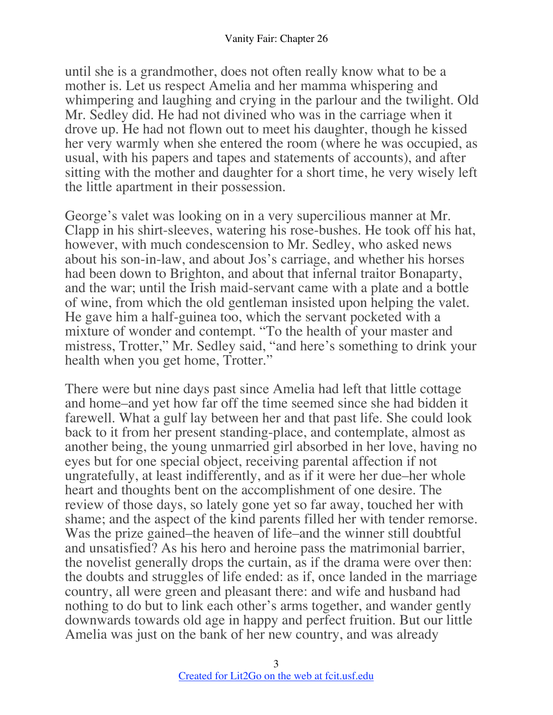until she is a grandmother, does not often really know what to be a mother is. Let us respect Amelia and her mamma whispering and whimpering and laughing and crying in the parlour and the twilight. Old Mr. Sedley did. He had not divined who was in the carriage when it drove up. He had not flown out to meet his daughter, though he kissed her very warmly when she entered the room (where he was occupied, as usual, with his papers and tapes and statements of accounts), and after sitting with the mother and daughter for a short time, he very wisely left the little apartment in their possession.

George's valet was looking on in a very supercilious manner at Mr. Clapp in his shirt-sleeves, watering his rose-bushes. He took off his hat, however, with much condescension to Mr. Sedley, who asked news about his son-in-law, and about Jos's carriage, and whether his horses had been down to Brighton, and about that infernal traitor Bonaparty, and the war; until the Irish maid-servant came with a plate and a bottle of wine, from which the old gentleman insisted upon helping the valet. He gave him a half-guinea too, which the servant pocketed with a mixture of wonder and contempt. "To the health of your master and mistress, Trotter," Mr. Sedley said, "and here's something to drink your health when you get home, Trotter."

There were but nine days past since Amelia had left that little cottage and home–and yet how far off the time seemed since she had bidden it farewell. What a gulf lay between her and that past life. She could look back to it from her present standing-place, and contemplate, almost as another being, the young unmarried girl absorbed in her love, having no eyes but for one special object, receiving parental affection if not ungratefully, at least indifferently, and as if it were her due–her whole heart and thoughts bent on the accomplishment of one desire. The review of those days, so lately gone yet so far away, touched her with shame; and the aspect of the kind parents filled her with tender remorse. Was the prize gained–the heaven of life–and the winner still doubtful and unsatisfied? As his hero and heroine pass the matrimonial barrier, the novelist generally drops the curtain, as if the drama were over then: the doubts and struggles of life ended: as if, once landed in the marriage country, all were green and pleasant there: and wife and husband had nothing to do but to link each other's arms together, and wander gently downwards towards old age in happy and perfect fruition. But our little Amelia was just on the bank of her new country, and was already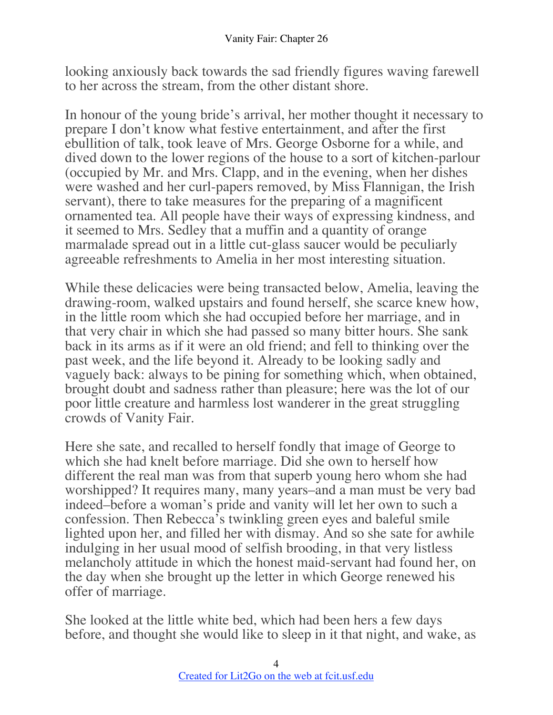looking anxiously back towards the sad friendly figures waving farewell to her across the stream, from the other distant shore.

In honour of the young bride's arrival, her mother thought it necessary to prepare I don't know what festive entertainment, and after the first ebullition of talk, took leave of Mrs. George Osborne for a while, and dived down to the lower regions of the house to a sort of kitchen-parlour (occupied by Mr. and Mrs. Clapp, and in the evening, when her dishes were washed and her curl-papers removed, by Miss Flannigan, the Irish servant), there to take measures for the preparing of a magnificent ornamented tea. All people have their ways of expressing kindness, and it seemed to Mrs. Sedley that a muffin and a quantity of orange marmalade spread out in a little cut-glass saucer would be peculiarly agreeable refreshments to Amelia in her most interesting situation.

While these delicacies were being transacted below, Amelia, leaving the drawing-room, walked upstairs and found herself, she scarce knew how, in the little room which she had occupied before her marriage, and in that very chair in which she had passed so many bitter hours. She sank back in its arms as if it were an old friend; and fell to thinking over the past week, and the life beyond it. Already to be looking sadly and vaguely back: always to be pining for something which, when obtained, brought doubt and sadness rather than pleasure; here was the lot of our poor little creature and harmless lost wanderer in the great struggling crowds of Vanity Fair.

Here she sate, and recalled to herself fondly that image of George to which she had knelt before marriage. Did she own to herself how different the real man was from that superb young hero whom she had worshipped? It requires many, many years–and a man must be very bad indeed–before a woman's pride and vanity will let her own to such a confession. Then Rebecca's twinkling green eyes and baleful smile lighted upon her, and filled her with dismay. And so she sate for awhile indulging in her usual mood of selfish brooding, in that very listless melancholy attitude in which the honest maid-servant had found her, on the day when she brought up the letter in which George renewed his offer of marriage.

She looked at the little white bed, which had been hers a few days before, and thought she would like to sleep in it that night, and wake, as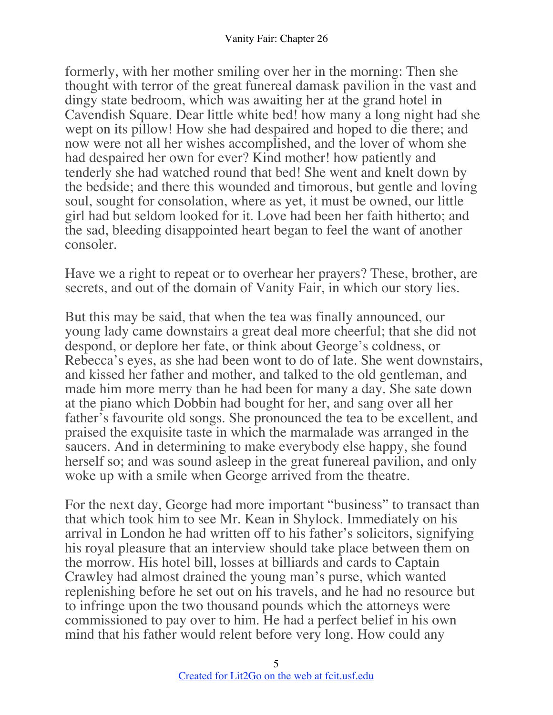formerly, with her mother smiling over her in the morning: Then she thought with terror of the great funereal damask pavilion in the vast and dingy state bedroom, which was awaiting her at the grand hotel in Cavendish Square. Dear little white bed! how many a long night had she wept on its pillow! How she had despaired and hoped to die there; and now were not all her wishes accomplished, and the lover of whom she had despaired her own for ever? Kind mother! how patiently and tenderly she had watched round that bed! She went and knelt down by the bedside; and there this wounded and timorous, but gentle and loving soul, sought for consolation, where as yet, it must be owned, our little girl had but seldom looked for it. Love had been her faith hitherto; and the sad, bleeding disappointed heart began to feel the want of another consoler.

Have we a right to repeat or to overhear her prayers? These, brother, are secrets, and out of the domain of Vanity Fair, in which our story lies.

But this may be said, that when the tea was finally announced, our young lady came downstairs a great deal more cheerful; that she did not despond, or deplore her fate, or think about George's coldness, or Rebecca's eyes, as she had been wont to do of late. She went downstairs, and kissed her father and mother, and talked to the old gentleman, and made him more merry than he had been for many a day. She sate down at the piano which Dobbin had bought for her, and sang over all her father's favourite old songs. She pronounced the tea to be excellent, and praised the exquisite taste in which the marmalade was arranged in the saucers. And in determining to make everybody else happy, she found herself so; and was sound asleep in the great funereal pavilion, and only woke up with a smile when George arrived from the theatre.

For the next day, George had more important "business" to transact than that which took him to see Mr. Kean in Shylock. Immediately on his arrival in London he had written off to his father's solicitors, signifying his royal pleasure that an interview should take place between them on the morrow. His hotel bill, losses at billiards and cards to Captain Crawley had almost drained the young man's purse, which wanted replenishing before he set out on his travels, and he had no resource but to infringe upon the two thousand pounds which the attorneys were commissioned to pay over to him. He had a perfect belief in his own mind that his father would relent before very long. How could any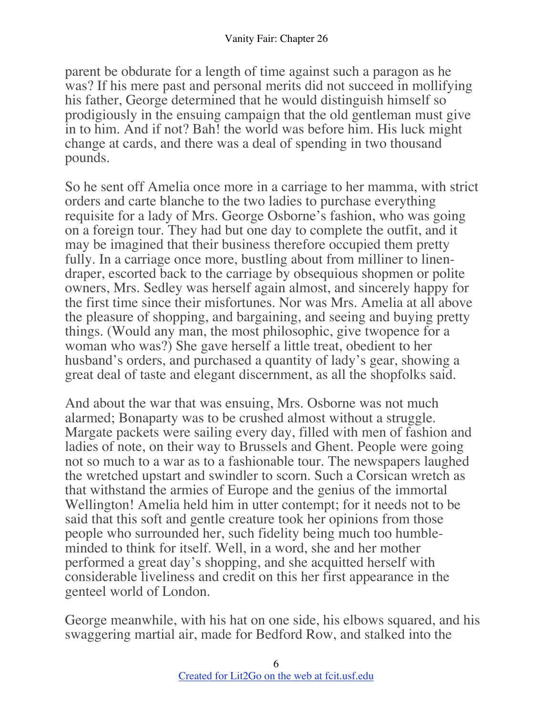parent be obdurate for a length of time against such a paragon as he was? If his mere past and personal merits did not succeed in mollifying his father, George determined that he would distinguish himself so prodigiously in the ensuing campaign that the old gentleman must give in to him. And if not? Bah! the world was before him. His luck might change at cards, and there was a deal of spending in two thousand pounds.

So he sent off Amelia once more in a carriage to her mamma, with strict orders and carte blanche to the two ladies to purchase everything requisite for a lady of Mrs. George Osborne's fashion, who was going on a foreign tour. They had but one day to complete the outfit, and it may be imagined that their business therefore occupied them pretty fully. In a carriage once more, bustling about from milliner to linendraper, escorted back to the carriage by obsequious shopmen or polite owners, Mrs. Sedley was herself again almost, and sincerely happy for the first time since their misfortunes. Nor was Mrs. Amelia at all above the pleasure of shopping, and bargaining, and seeing and buying pretty things. (Would any man, the most philosophic, give twopence for a woman who was?) She gave herself a little treat, obedient to her husband's orders, and purchased a quantity of lady's gear, showing a great deal of taste and elegant discernment, as all the shopfolks said.

And about the war that was ensuing, Mrs. Osborne was not much alarmed; Bonaparty was to be crushed almost without a struggle. Margate packets were sailing every day, filled with men of fashion and ladies of note, on their way to Brussels and Ghent. People were going not so much to a war as to a fashionable tour. The newspapers laughed the wretched upstart and swindler to scorn. Such a Corsican wretch as that withstand the armies of Europe and the genius of the immortal Wellington! Amelia held him in utter contempt; for it needs not to be said that this soft and gentle creature took her opinions from those people who surrounded her, such fidelity being much too humbleminded to think for itself. Well, in a word, she and her mother performed a great day's shopping, and she acquitted herself with considerable liveliness and credit on this her first appearance in the genteel world of London.

George meanwhile, with his hat on one side, his elbows squared, and his swaggering martial air, made for Bedford Row, and stalked into the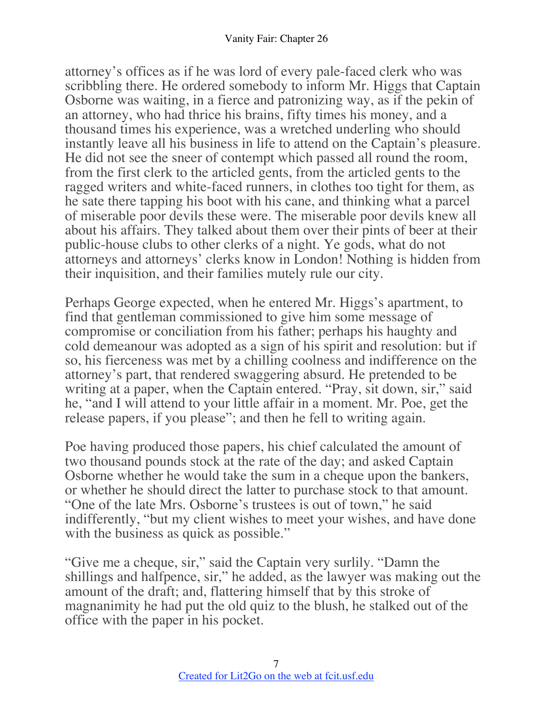attorney's offices as if he was lord of every pale-faced clerk who was scribbling there. He ordered somebody to inform Mr. Higgs that Captain Osborne was waiting, in a fierce and patronizing way, as if the pekin of an attorney, who had thrice his brains, fifty times his money, and a thousand times his experience, was a wretched underling who should instantly leave all his business in life to attend on the Captain's pleasure. He did not see the sneer of contempt which passed all round the room, from the first clerk to the articled gents, from the articled gents to the ragged writers and white-faced runners, in clothes too tight for them, as he sate there tapping his boot with his cane, and thinking what a parcel of miserable poor devils these were. The miserable poor devils knew all about his affairs. They talked about them over their pints of beer at their public-house clubs to other clerks of a night. Ye gods, what do not attorneys and attorneys' clerks know in London! Nothing is hidden from their inquisition, and their families mutely rule our city.

Perhaps George expected, when he entered Mr. Higgs's apartment, to find that gentleman commissioned to give him some message of compromise or conciliation from his father; perhaps his haughty and cold demeanour was adopted as a sign of his spirit and resolution: but if so, his fierceness was met by a chilling coolness and indifference on the attorney's part, that rendered swaggering absurd. He pretended to be writing at a paper, when the Captain entered. "Pray, sit down, sir," said he, "and I will attend to your little affair in a moment. Mr. Poe, get the release papers, if you please"; and then he fell to writing again.

Poe having produced those papers, his chief calculated the amount of two thousand pounds stock at the rate of the day; and asked Captain Osborne whether he would take the sum in a cheque upon the bankers, or whether he should direct the latter to purchase stock to that amount. "One of the late Mrs. Osborne's trustees is out of town," he said indifferently, "but my client wishes to meet your wishes, and have done with the business as quick as possible."

"Give me a cheque, sir," said the Captain very surlily. "Damn the shillings and halfpence, sir," he added, as the lawyer was making out the amount of the draft; and, flattering himself that by this stroke of magnanimity he had put the old quiz to the blush, he stalked out of the office with the paper in his pocket.